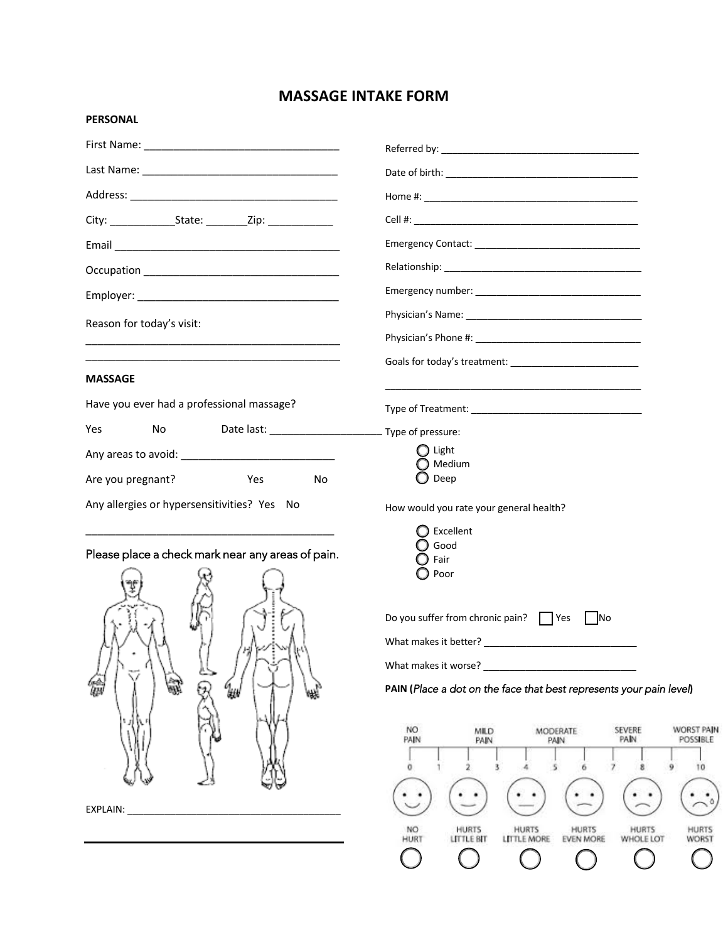# **MASSAGE INTAKE FORM**

### **PERSONAL**

| Reason for today's visit:                                                                                             |                                                                                                                                                                                                                                                                                                                       |  |
|-----------------------------------------------------------------------------------------------------------------------|-----------------------------------------------------------------------------------------------------------------------------------------------------------------------------------------------------------------------------------------------------------------------------------------------------------------------|--|
| <u> 1989 - Johann Harry Harry Harry Harry Harry Harry Harry Harry Harry Harry Harry Harry Harry Harry Harry Harry</u> |                                                                                                                                                                                                                                                                                                                       |  |
|                                                                                                                       |                                                                                                                                                                                                                                                                                                                       |  |
| <b>MASSAGE</b>                                                                                                        |                                                                                                                                                                                                                                                                                                                       |  |
| Have you ever had a professional massage?                                                                             |                                                                                                                                                                                                                                                                                                                       |  |
| Yes<br>No                                                                                                             |                                                                                                                                                                                                                                                                                                                       |  |
|                                                                                                                       | $\bigcirc$ Light<br>Medium                                                                                                                                                                                                                                                                                            |  |
| Are you pregnant?<br>Yes<br>No                                                                                        | Deep                                                                                                                                                                                                                                                                                                                  |  |
| Any allergies or hypersensitivities? Yes No                                                                           | How would you rate your general health?                                                                                                                                                                                                                                                                               |  |
| Please place a check mark near any areas of pain.<br>氯<br>64)<br>UN<br>$q_{\scriptscriptstyle{H\!W}}$                 | Excellent<br>Good<br>Fair<br>Poor<br>Do you suffer from chronic pain? TYes LANO<br>What makes it better?<br><u> </u><br>PAIN (Place a dot on the face that best represents your pain level)<br>NO.<br><b>WORST PAIN</b><br>SEVERE<br><b>MILD</b><br>MODERATE<br><b>PAIN</b><br>PAIN<br>POSSIBLE<br>PAIN<br>PAIN<br>10 |  |
| EXPLAIN:                                                                                                              | <b>HURTS</b><br><b>HURTS</b><br><b>HURTS</b><br>NO<br><b>HURTS</b><br>HURTS<br>WORST<br>HURT<br>LITTLE BIT<br><b>LITTLE MORE</b><br><b>EVEN MORE</b><br>WHOLE LOT                                                                                                                                                     |  |
|                                                                                                                       |                                                                                                                                                                                                                                                                                                                       |  |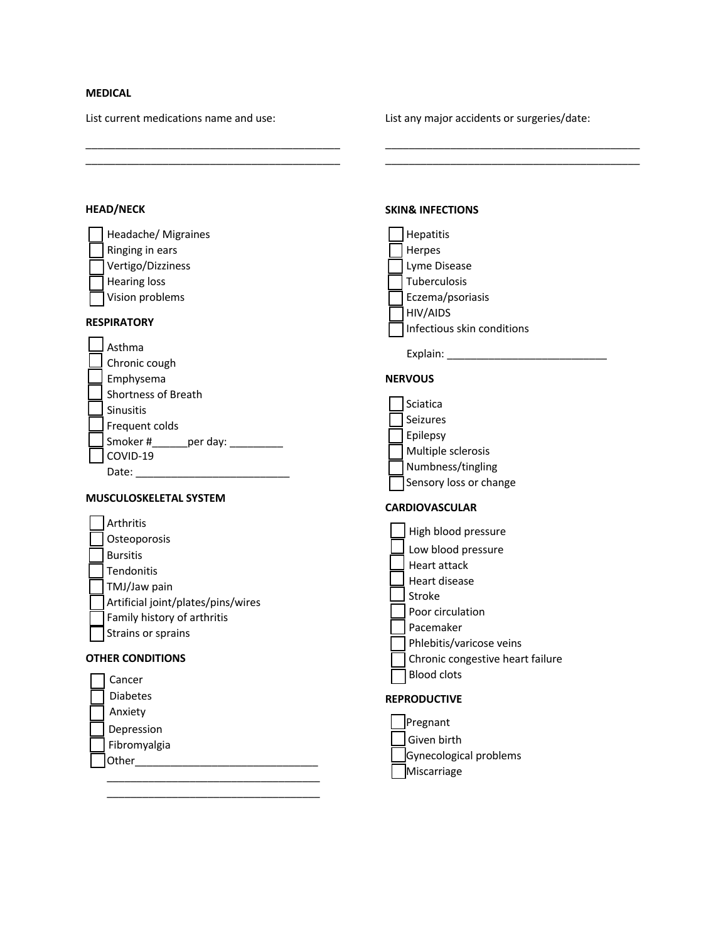# **MEDICAL**

List current medications name and use:

\_\_\_\_\_\_\_\_\_\_\_\_\_\_\_\_\_\_\_\_\_\_\_\_\_\_\_\_\_\_\_\_\_\_\_\_\_\_\_\_\_\_\_

 $\mathcal{L}_\text{max}$  , and the set of the set of the set of the set of the set of the set of the set of the set of the set of the set of the set of the set of the set of the set of the set of the set of the set of the set of the

List any major accidents or surgeries/date:

\_\_\_\_\_\_\_\_\_\_\_\_\_\_\_\_\_\_\_\_\_\_\_\_\_\_\_\_\_\_\_\_\_\_\_\_\_\_\_\_\_\_\_

**SKIN& INFECTIONS**

\_\_\_\_\_\_\_\_\_\_\_\_\_\_\_\_\_\_\_\_\_\_\_\_\_\_\_\_\_\_\_\_\_\_\_\_\_\_\_\_\_\_\_

## **HEAD/NECK**

|                               | Headache/ Migraines                                                                                           | <b>Hepatitis</b>                       |
|-------------------------------|---------------------------------------------------------------------------------------------------------------|----------------------------------------|
|                               | Ringing in ears                                                                                               | Herpes                                 |
|                               | Vertigo/Dizziness                                                                                             | Lyme Disease                           |
|                               | <b>Hearing loss</b>                                                                                           | Tuberculosis                           |
|                               | Vision problems                                                                                               | Eczema/psoriasis                       |
|                               | <b>RESPIRATORY</b>                                                                                            | HIV/AIDS<br>Infectious skin conditions |
|                               | Asthma                                                                                                        |                                        |
|                               | Chronic cough                                                                                                 |                                        |
|                               | Emphysema                                                                                                     | <b>NERVOUS</b>                         |
|                               | Shortness of Breath                                                                                           |                                        |
|                               | Sinusitis                                                                                                     | Sciatica                               |
|                               | Frequent colds                                                                                                | Seizures                               |
|                               | Smoker #_______ per day: ________                                                                             | Epilepsy                               |
|                               | COVID-19                                                                                                      | Multiple sclerosis                     |
|                               |                                                                                                               | Numbness/tingling                      |
|                               |                                                                                                               | Sensory loss or change                 |
| <b>MUSCULOSKELETAL SYSTEM</b> |                                                                                                               |                                        |
|                               |                                                                                                               | <b>CARDIOVASCULAR</b>                  |
|                               | Arthritis                                                                                                     |                                        |
|                               | Osteoporosis                                                                                                  | High blood pressure                    |
|                               | <b>Bursitis</b>                                                                                               | Low blood pressure                     |
|                               | Tendonitis                                                                                                    | Heart attack                           |
|                               | TMJ/Jaw pain                                                                                                  | Heart disease                          |
|                               | Artificial joint/plates/pins/wires                                                                            | Stroke                                 |
|                               | Family history of arthritis                                                                                   | Poor circulation                       |
|                               | Strains or sprains                                                                                            | Pacemaker                              |
|                               |                                                                                                               | Phlebitis/varicose veins               |
|                               | <b>OTHER CONDITIONS</b>                                                                                       | Chronic congestive heart failure       |
|                               | Cancer                                                                                                        | <b>Blood clots</b>                     |
|                               | <b>Diabetes</b>                                                                                               | <b>REPRODUCTIVE</b>                    |
|                               | Anxiety                                                                                                       |                                        |
|                               | Depression                                                                                                    | Pregnant                               |
|                               | Fibromyalgia                                                                                                  | Given birth                            |
|                               | Other and the contract of the contract of the contract of the contract of the contract of the contract of the | Gynecological problems                 |
|                               |                                                                                                               | Miscarriage                            |

 $\overline{\phantom{a}}$  , and the set of the set of the set of the set of the set of the set of the set of the set of the set of the set of the set of the set of the set of the set of the set of the set of the set of the set of the s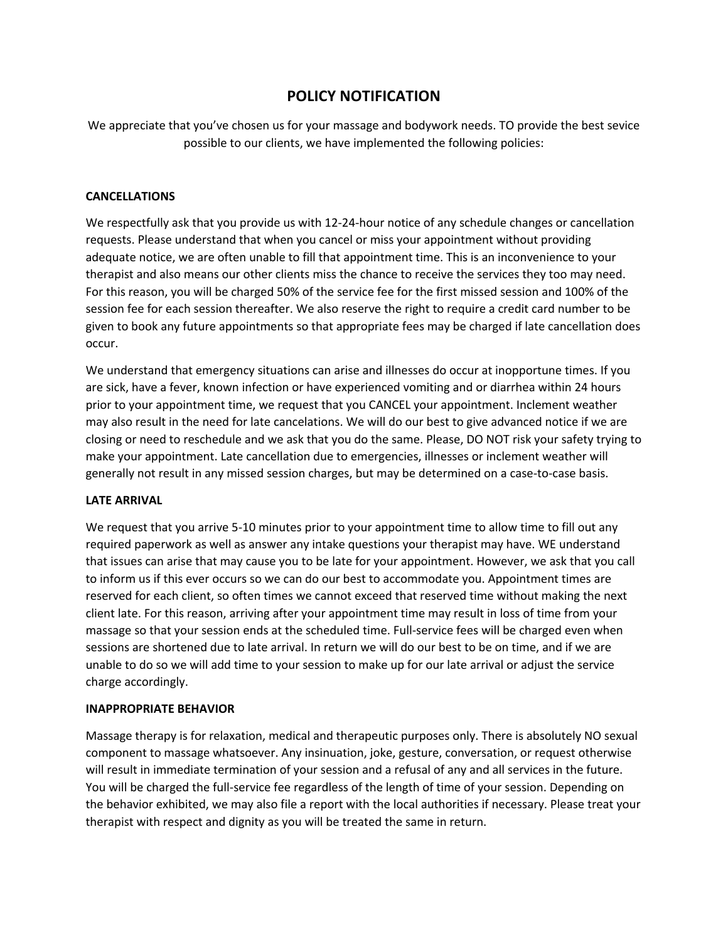# **POLICY NOTIFICATION**

We appreciate that you've chosen us for your massage and bodywork needs. TO provide the best sevice possible to our clients, we have implemented the following policies:

### **CANCELLATIONS**

We respectfully ask that you provide us with 12-24-hour notice of any schedule changes or cancellation requests. Please understand that when you cancel or miss your appointment without providing adequate notice, we are often unable to fill that appointment time. This is an inconvenience to your therapist and also means our other clients miss the chance to receive the services they too may need. For this reason, you will be charged 50% of the service fee for the first missed session and 100% of the session fee for each session thereafter. We also reserve the right to require a credit card number to be given to book any future appointments so that appropriate fees may be charged if late cancellation does occur.

We understand that emergency situations can arise and illnesses do occur at inopportune times. If you are sick, have a fever, known infection or have experienced vomiting and or diarrhea within 24 hours prior to your appointment time, we request that you CANCEL your appointment. Inclement weather may also result in the need for late cancelations. We will do our best to give advanced notice if we are closing or need to reschedule and we ask that you do the same. Please, DO NOT risk your safety trying to make your appointment. Late cancellation due to emergencies, illnesses or inclement weather will generally not result in any missed session charges, but may be determined on a case-to-case basis.

### **LATE ARRIVAL**

We request that you arrive 5-10 minutes prior to your appointment time to allow time to fill out any required paperwork as well as answer any intake questions your therapist may have. WE understand that issues can arise that may cause you to be late for your appointment. However, we ask that you call to inform us if this ever occurs so we can do our best to accommodate you. Appointment times are reserved for each client, so often times we cannot exceed that reserved time without making the next client late. For this reason, arriving after your appointment time may result in loss of time from your massage so that your session ends at the scheduled time. Full-service fees will be charged even when sessions are shortened due to late arrival. In return we will do our best to be on time, and if we are unable to do so we will add time to your session to make up for our late arrival or adjust the service charge accordingly.

### **INAPPROPRIATE BEHAVIOR**

Massage therapy is for relaxation, medical and therapeutic purposes only. There is absolutely NO sexual component to massage whatsoever. Any insinuation, joke, gesture, conversation, or request otherwise will result in immediate termination of your session and a refusal of any and all services in the future. You will be charged the full-service fee regardless of the length of time of your session. Depending on the behavior exhibited, we may also file a report with the local authorities if necessary. Please treat your therapist with respect and dignity as you will be treated the same in return.